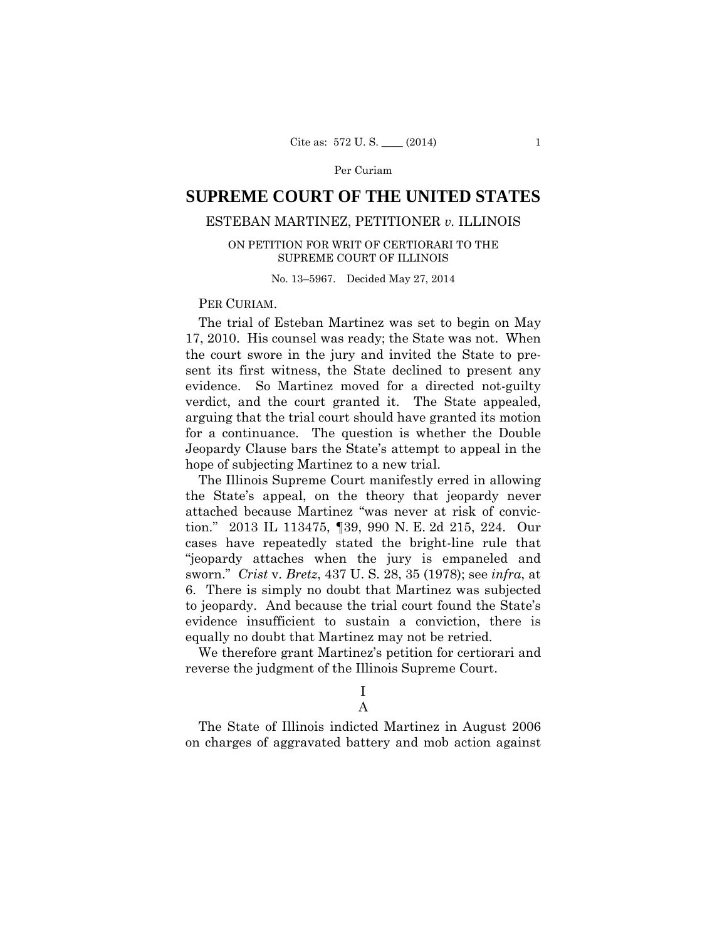# **SUPREME COURT OF THE UNITED STATES**

# ESTEBAN MARTINEZ, PETITIONER *v.* ILLINOIS

# ON PETITION FOR WRIT OF CERTIORARI TO THE SUPREME COURT OF ILLINOIS

No. 13–5967. Decided May 27, 2014

# PER CURIAM.

The trial of Esteban Martinez was set to begin on May 17, 2010. His counsel was ready; the State was not. When the court swore in the jury and invited the State to present its first witness, the State declined to present any evidence. So Martinez moved for a directed not-guilty verdict, and the court granted it. The State appealed, arguing that the trial court should have granted its motion for a continuance. The question is whether the Double Jeopardy Clause bars the State's attempt to appeal in the hope of subjecting Martinez to a new trial.

The Illinois Supreme Court manifestly erred in allowing the State's appeal, on the theory that jeopardy never attached because Martinez "was never at risk of conviction." 2013 IL 113475, ¶39, 990 N. E. 2d 215, 224. Our cases have repeatedly stated the bright-line rule that "jeopardy attaches when the jury is empaneled and sworn." *Crist* v. *Bretz*, 437 U. S. 28, 35 (1978); see *infra*, at 6. There is simply no doubt that Martinez was subjected to jeopardy. And because the trial court found the State's evidence insufficient to sustain a conviction, there is equally no doubt that Martinez may not be retried.

We therefore grant Martinez's petition for certiorari and reverse the judgment of the Illinois Supreme Court.

I

# A

The State of Illinois indicted Martinez in August 2006 on charges of aggravated battery and mob action against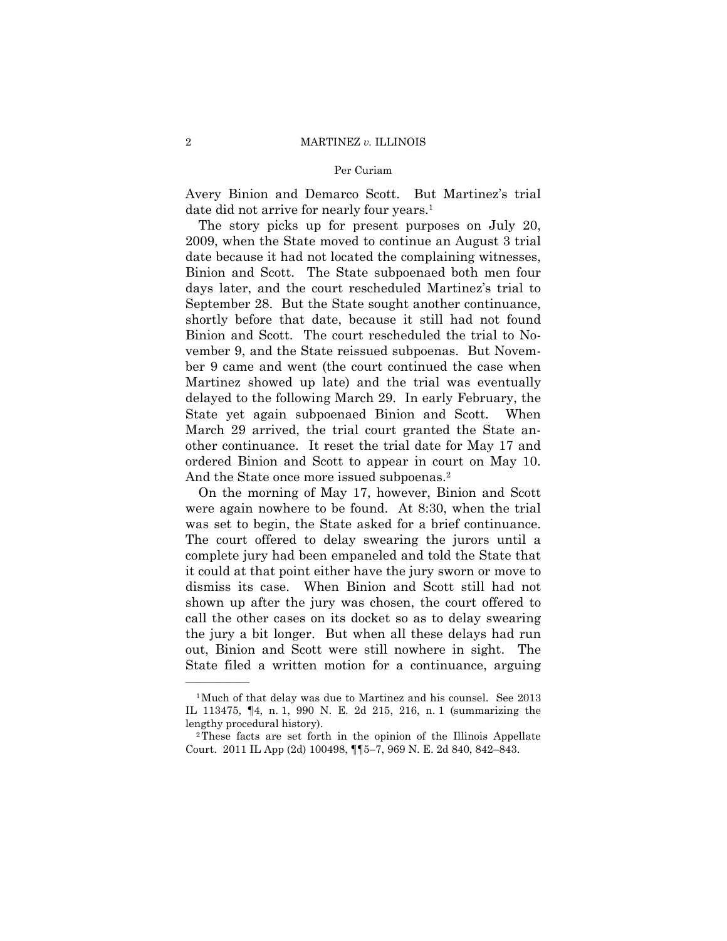Avery Binion and Demarco Scott. But Martinez's trial date did not arrive for nearly four years.<sup>1</sup>

The story picks up for present purposes on July 20, 2009, when the State moved to continue an August 3 trial date because it had not located the complaining witnesses, Binion and Scott. The State subpoenaed both men four days later, and the court rescheduled Martinez's trial to September 28. But the State sought another continuance, shortly before that date, because it still had not found Binion and Scott. The court rescheduled the trial to November 9, and the State reissued subpoenas. But November 9 came and went (the court continued the case when Martinez showed up late) and the trial was eventually delayed to the following March 29. In early February, the State yet again subpoenaed Binion and Scott. When March 29 arrived, the trial court granted the State another continuance. It reset the trial date for May 17 and ordered Binion and Scott to appear in court on May 10. And the State once more issued subpoenas.<sup>2</sup>

On the morning of May 17, however, Binion and Scott were again nowhere to be found. At 8:30, when the trial was set to begin, the State asked for a brief continuance. The court offered to delay swearing the jurors until a complete jury had been empaneled and told the State that it could at that point either have the jury sworn or move to dismiss its case. When Binion and Scott still had not shown up after the jury was chosen, the court offered to call the other cases on its docket so as to delay swearing the jury a bit longer. But when all these delays had run out, Binion and Scott were still nowhere in sight. The State filed a written motion for a continuance, arguing

——————

<sup>1</sup>Much of that delay was due to Martinez and his counsel. See 2013 IL 113475, ¶4, n. 1, 990 N. E. 2d 215, 216, n. 1 (summarizing the lengthy procedural history).<br><sup>2</sup>These facts are set forth in the opinion of the Illinois Appellate

Court. 2011 IL App (2d) 100498, ¶¶5–7, 969 N. E. 2d 840, 842–843.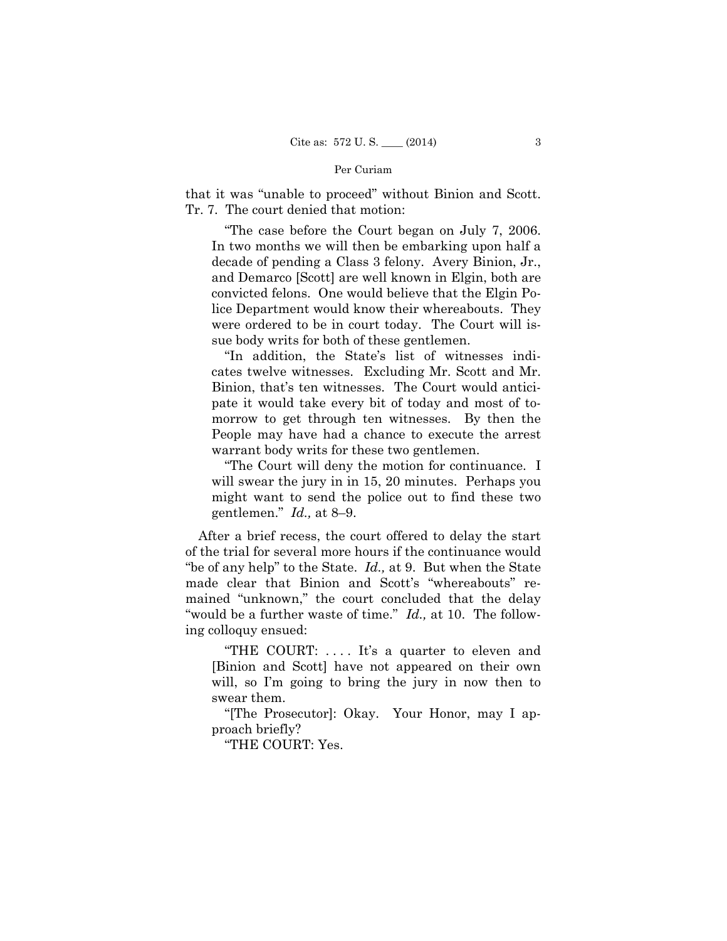that it was "unable to proceed" without Binion and Scott. Tr. 7. The court denied that motion:

"The case before the Court began on July 7, 2006. In two months we will then be embarking upon half a decade of pending a Class 3 felony. Avery Binion, Jr., and Demarco [Scott] are well known in Elgin, both are convicted felons. One would believe that the Elgin Police Department would know their whereabouts. They were ordered to be in court today. The Court will issue body writs for both of these gentlemen.

"In addition, the State's list of witnesses indicates twelve witnesses. Excluding Mr. Scott and Mr. Binion, that's ten witnesses. The Court would anticipate it would take every bit of today and most of tomorrow to get through ten witnesses. By then the People may have had a chance to execute the arrest warrant body writs for these two gentlemen.

"The Court will deny the motion for continuance. I will swear the jury in in 15, 20 minutes. Perhaps you might want to send the police out to find these two gentlemen." *Id.,* at 8–9.

After a brief recess, the court offered to delay the start of the trial for several more hours if the continuance would "be of any help" to the State. *Id.,* at 9. But when the State made clear that Binion and Scott's "whereabouts" remained "unknown," the court concluded that the delay "would be a further waste of time." *Id.,* at 10. The following colloquy ensued:

"THE COURT: . . . . It's a quarter to eleven and [Binion and Scott] have not appeared on their own will, so I'm going to bring the jury in now then to swear them.

"[The Prosecutor]: Okay. Your Honor, may I approach briefly?

"THE COURT: Yes.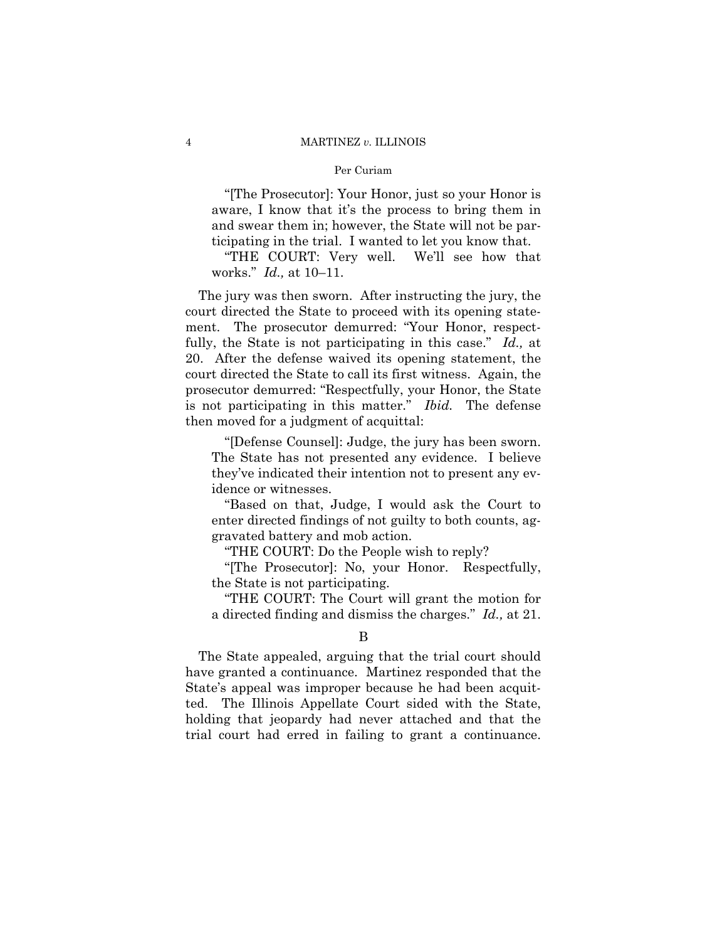#### 4 MARTINEZ *v.* ILLINOIS

#### Per Curiam

"[The Prosecutor]: Your Honor, just so your Honor is aware, I know that it's the process to bring them in and swear them in; however, the State will not be participating in the trial. I wanted to let you know that.

"THE COURT: Very well. We'll see how that works." *Id.,* at 10–11.

 is not participating in this matter." *Ibid.* The defense The jury was then sworn. After instructing the jury, the court directed the State to proceed with its opening statement. The prosecutor demurred: "Your Honor, respectfully, the State is not participating in this case." *Id.,* at 20. After the defense waived its opening statement, the court directed the State to call its first witness. Again, the prosecutor demurred: "Respectfully, your Honor, the State then moved for a judgment of acquittal:

"[Defense Counsel]: Judge, the jury has been sworn. The State has not presented any evidence. I believe they've indicated their intention not to present any evidence or witnesses.

"Based on that, Judge, I would ask the Court to enter directed findings of not guilty to both counts, aggravated battery and mob action.

"THE COURT: Do the People wish to reply?

"[The Prosecutor]: No, your Honor. Respectfully, the State is not participating.

"THE COURT: The Court will grant the motion for a directed finding and dismiss the charges." *Id.,* at 21.

The State appealed, arguing that the trial court should have granted a continuance. Martinez responded that the State's appeal was improper because he had been acquitted. The Illinois Appellate Court sided with the State, holding that jeopardy had never attached and that the trial court had erred in failing to grant a continuance.

B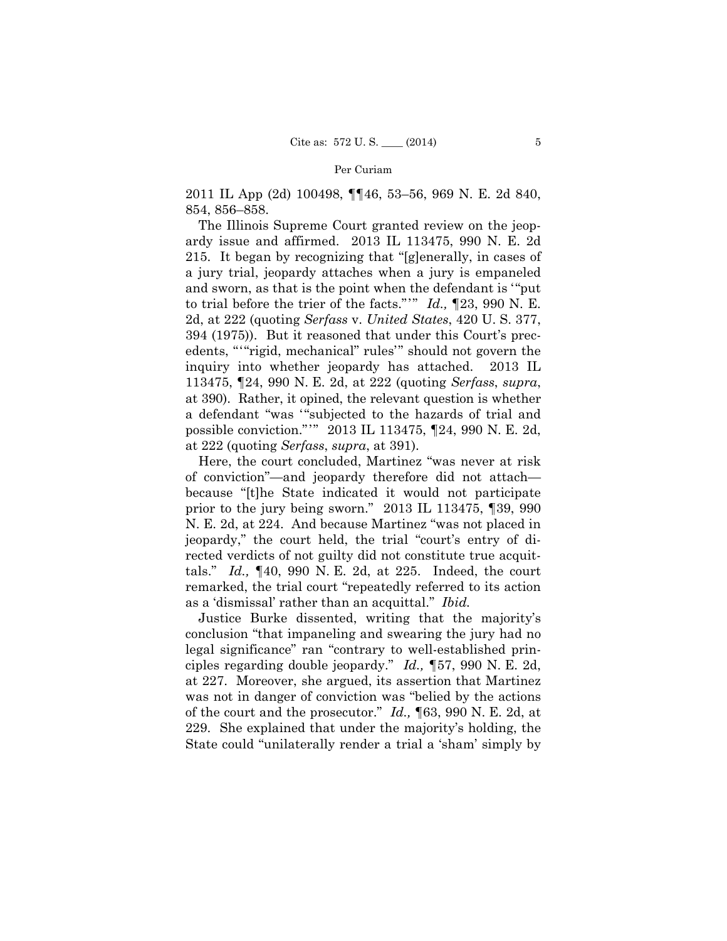2011 IL App (2d) 100498, ¶¶46, 53–56, 969 N. E. 2d 840, 854, 856–858.

 to trial before the trier of the facts."'" *Id.,* ¶23, 990 N. E. edents, "'"rigid, mechanical" rules'" should not govern the possible conviction."'" 2013 IL 113475, ¶24, 990 N. E. 2d, The Illinois Supreme Court granted review on the jeopardy issue and affirmed. 2013 IL 113475, 990 N. E. 2d 215. It began by recognizing that "[g]enerally, in cases of a jury trial, jeopardy attaches when a jury is empaneled and sworn, as that is the point when the defendant is '"put 2d, at 222 (quoting *Serfass* v. *United States*, 420 U. S. 377, 394 (1975)). But it reasoned that under this Court's precinquiry into whether jeopardy has attached. 2013 IL 113475, ¶24, 990 N. E. 2d, at 222 (quoting *Serfass*, *supra*, at 390). Rather, it opined, the relevant question is whether a defendant "was '"subjected to the hazards of trial and at 222 (quoting *Serfass*, *supra*, at 391).

prior to the jury being sworn." 2013 IL 113475, 139, 990 Here, the court concluded, Martinez "was never at risk of conviction"—and jeopardy therefore did not attach because "[t]he State indicated it would not participate N. E. 2d, at 224. And because Martinez "was not placed in jeopardy," the court held, the trial "court's entry of directed verdicts of not guilty did not constitute true acquittals." *Id.,* ¶40, 990 N. E. 2d, at 225. Indeed, the court remarked, the trial court "repeatedly referred to its action as a 'dismissal' rather than an acquittal." *Ibid.* 

Justice Burke dissented, writing that the majority's conclusion "that impaneling and swearing the jury had no legal significance" ran "contrary to well-established principles regarding double jeopardy." *Id., ¶*57, 990 N. E. 2d, at 227. Moreover, she argued, its assertion that Martinez was not in danger of conviction was "belied by the actions of the court and the prosecutor." *Id.,* ¶63, 990 N. E. 2d, at 229. She explained that under the majority's holding, the State could "unilaterally render a trial a 'sham' simply by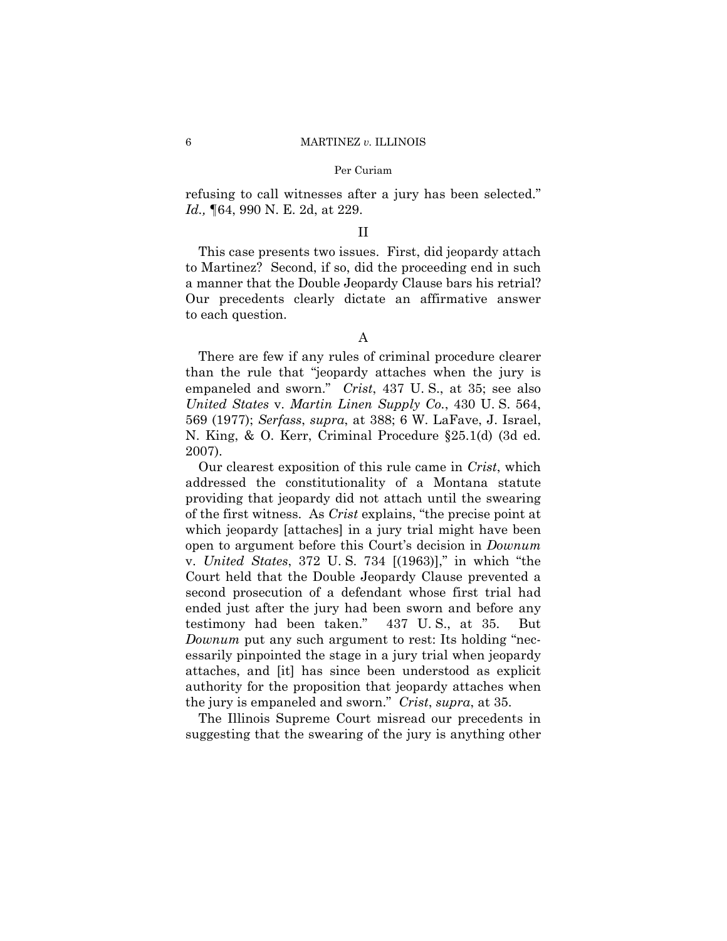refusing to call witnesses after a jury has been selected." *Id.,* ¶64, 990 N. E. 2d, at 229.

#### II

This case presents two issues. First, did jeopardy attach to Martinez? Second, if so, did the proceeding end in such a manner that the Double Jeopardy Clause bars his retrial? Our precedents clearly dictate an affirmative answer to each question.

There are few if any rules of criminal procedure clearer than the rule that "jeopardy attaches when the jury is empaneled and sworn." *Crist*, 437 U. S., at 35; see also *United States* v. *Martin Linen Supply Co.*, 430 U. S. 564, 569 (1977); *Serfass*, *supra*, at 388; 6 W. LaFave, J. Israel, N. King, & O. Kerr, Criminal Procedure §25.1(d) (3d ed. 2007).

Our clearest exposition of this rule came in *Crist*, which addressed the constitutionality of a Montana statute providing that jeopardy did not attach until the swearing of the first witness. As *Crist* explains, "the precise point at which jeopardy [attaches] in a jury trial might have been open to argument before this Court's decision in *Downum*  v. *United States*, 372 U. S. 734 [(1963)]," in which "the Court held that the Double Jeopardy Clause prevented a second prosecution of a defendant whose first trial had ended just after the jury had been sworn and before any testimony had been taken." 437 U. S., at 35. But *Downum* put any such argument to rest: Its holding "necessarily pinpointed the stage in a jury trial when jeopardy attaches, and [it] has since been understood as explicit authority for the proposition that jeopardy attaches when the jury is empaneled and sworn." *Crist*, *supra*, at 35.

The Illinois Supreme Court misread our precedents in suggesting that the swearing of the jury is anything other

A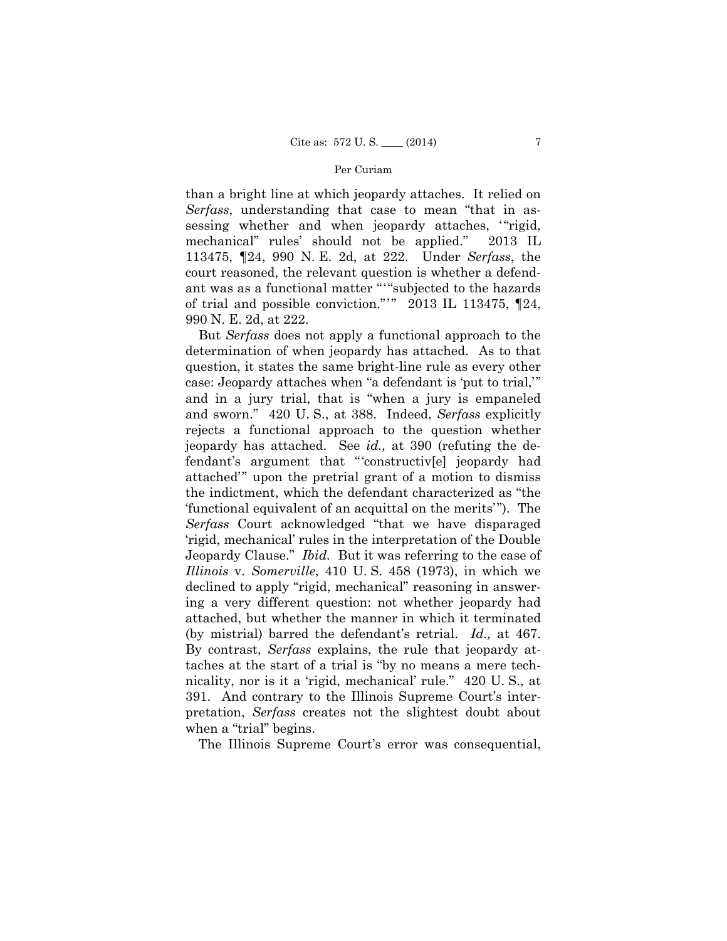ant was as a functional matter " '"subjected to the hazards of trial and possible conviction."'" 2013 IL 113475, ¶24, than a bright line at which jeopardy attaches. It relied on *Serfass*, understanding that case to mean "that in assessing whether and when jeopardy attaches, "rigid, mechanical" rules' should not be applied." 2013 IL 113475, ¶24, 990 N. E. 2d, at 222. Under *Serfass*, the court reasoned, the relevant question is whether a defend-990 N. E. 2d, at 222.

But *Serfass* does not apply a functional approach to the determination of when jeopardy has attached. As to that question, it states the same bright-line rule as every other case: Jeopardy attaches when "a defendant is 'put to trial,'" and in a jury trial, that is "when a jury is empaneled and sworn." 420 U. S., at 388. Indeed, *Serfass* explicitly rejects a functional approach to the question whether jeopardy has attached. See *id.,* at 390 (refuting the defendant's argument that "'constructiv[e] jeopardy had attached'" upon the pretrial grant of a motion to dismiss the indictment, which the defendant characterized as "the 'functional equivalent of an acquittal on the merits'"). The *Serfass* Court acknowledged "that we have disparaged 'rigid, mechanical' rules in the interpretation of the Double Jeopardy Clause." *Ibid.* But it was referring to the case of *Illinois* v. *Somerville*, 410 U. S. 458 (1973), in which we declined to apply "rigid, mechanical" reasoning in answering a very different question: not whether jeopardy had attached, but whether the manner in which it terminated (by mistrial) barred the defendant's retrial. *Id.,* at 467. By contrast, *Serfass* explains, the rule that jeopardy attaches at the start of a trial is "by no means a mere technicality, nor is it a 'rigid, mechanical' rule." 420 U. S., at 391. And contrary to the Illinois Supreme Court's interpretation, *Serfass* creates not the slightest doubt about when a "trial" begins.

The Illinois Supreme Court's error was consequential,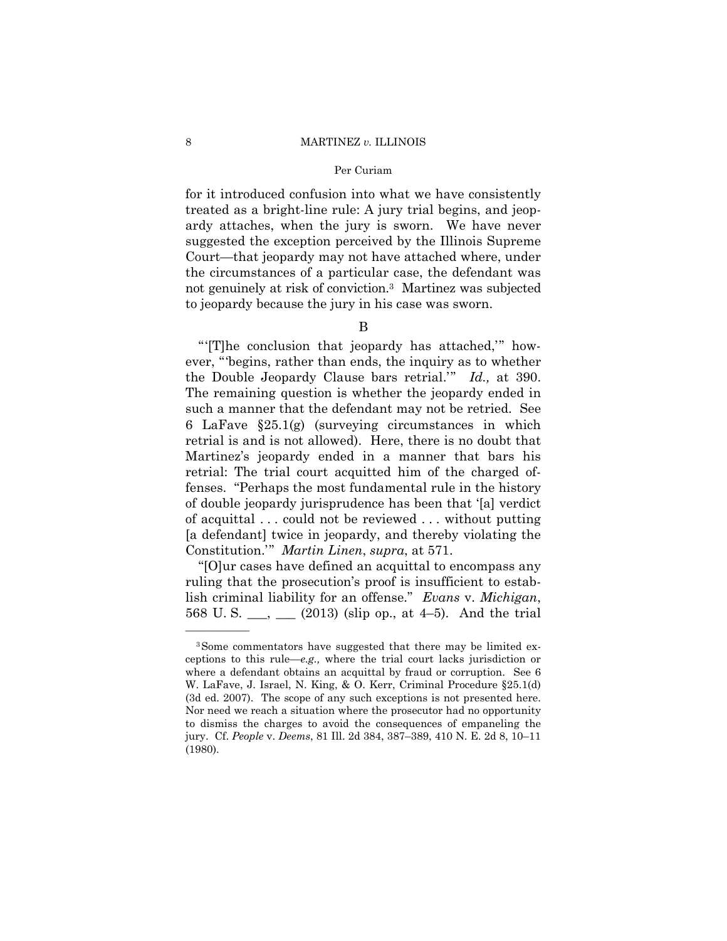#### 8 MARTINEZ *v.* ILLINOIS

#### Per Curiam

for it introduced confusion into what we have consistently treated as a bright-line rule: A jury trial begins, and jeopardy attaches, when the jury is sworn. We have never suggested the exception perceived by the Illinois Supreme Court—that jeopardy may not have attached where, under the circumstances of a particular case, the defendant was not genuinely at risk of conviction.3 Martinez was subjected to jeopardy because the jury in his case was sworn.

B

 the Double Jeopardy Clause bars retrial.'" *Id.,* at 390. The remaining question is whether the jeopardy ended in "'[T]he conclusion that jeopardy has attached,'" however, "'begins, rather than ends, the inquiry as to whether such a manner that the defendant may not be retried. See 6 LaFave §25.1(g) (surveying circumstances in which retrial is and is not allowed). Here, there is no doubt that Martinez's jeopardy ended in a manner that bars his retrial: The trial court acquitted him of the charged offenses. "Perhaps the most fundamental rule in the history of double jeopardy jurisprudence has been that '[a] verdict of acquittal . . . could not be reviewed . . . without putting [a defendant] twice in jeopardy, and thereby violating the Constitution.'" *Martin Linen*, *supra*, at 571.

"[O]ur cases have defined an acquittal to encompass any ruling that the prosecution's proof is insufficient to establish criminal liability for an offense." *Evans* v. *Michigan*, 568 U.S.  $\frac{1}{2}$ ,  $\frac{1}{2}$  (2013) (slip op., at 4–5). And the trial

——————

<sup>3</sup>Some commentators have suggested that there may be limited exceptions to this rule—*e.g.,* where the trial court lacks jurisdiction or where a defendant obtains an acquittal by fraud or corruption. See 6 W. LaFave, J. Israel, N. King, & O. Kerr, Criminal Procedure §25.1(d) (3d ed. 2007). The scope of any such exceptions is not presented here. Nor need we reach a situation where the prosecutor had no opportunity to dismiss the charges to avoid the consequences of empaneling the jury. Cf. *People* v. *Deems*, 81 Ill. 2d 384, 387–389, 410 N. E. 2d 8, 10–11 (1980).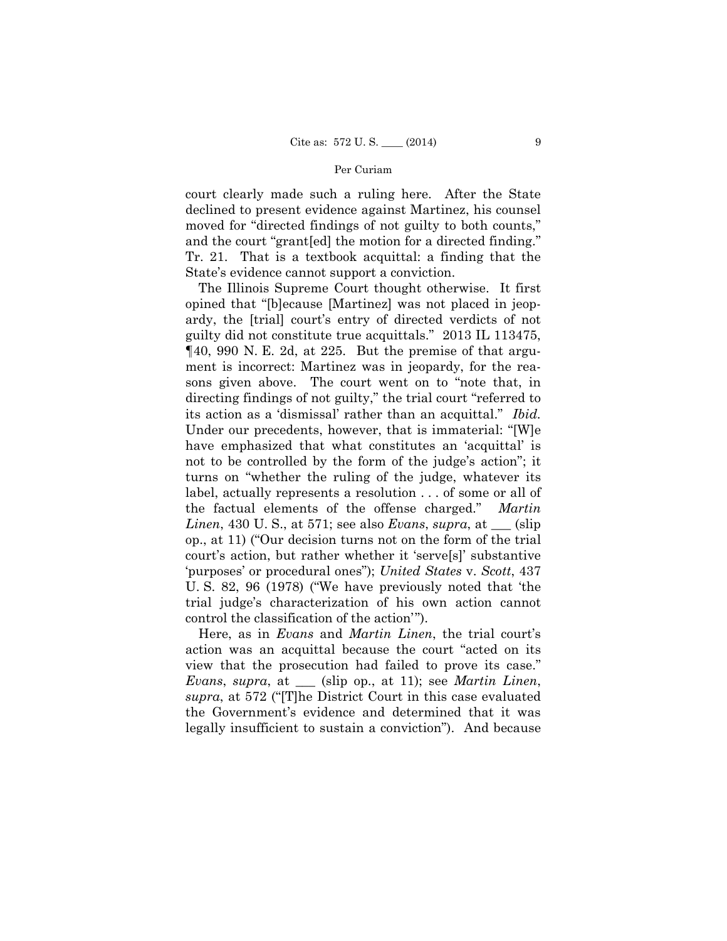court clearly made such a ruling here. After the State declined to present evidence against Martinez, his counsel moved for "directed findings of not guilty to both counts," and the court "grant[ed] the motion for a directed finding." Tr. 21. That is a textbook acquittal: a finding that the State's evidence cannot support a conviction.

The Illinois Supreme Court thought otherwise. It first opined that "[b]ecause [Martinez] was not placed in jeopardy, the [trial] court's entry of directed verdicts of not guilty did not constitute true acquittals." 2013 IL 113475, ¶40, 990 N. E. 2d, at 225. But the premise of that argument is incorrect: Martinez was in jeopardy, for the reasons given above. The court went on to "note that, in directing findings of not guilty," the trial court "referred to its action as a 'dismissal' rather than an acquittal." *Ibid.* Under our precedents, however, that is immaterial: "[W]e have emphasized that what constitutes an 'acquittal' is not to be controlled by the form of the judge's action"; it turns on "whether the ruling of the judge, whatever its label, actually represents a resolution . . . of some or all of the factual elements of the offense charged." *Martin Linen*, 430 U. S., at 571; see also *Evans*, *supra*, at \_\_\_ (slip op., at 11) ("Our decision turns not on the form of the trial court's action, but rather whether it 'serve[s]' substantive 'purposes' or procedural ones"); *United States* v. *Scott*, 437 U. S. 82, 96 (1978) ("We have previously noted that 'the trial judge's characterization of his own action cannot control the classification of the action'").

Here, as in *Evans* and *Martin Linen*, the trial court's action was an acquittal because the court "acted on its view that the prosecution had failed to prove its case." *Evans*, *supra*, at \_\_\_ (slip op., at 11); see *Martin Linen*, *supra*, at 572 ("[T]he District Court in this case evaluated the Government's evidence and determined that it was legally insufficient to sustain a conviction"). And because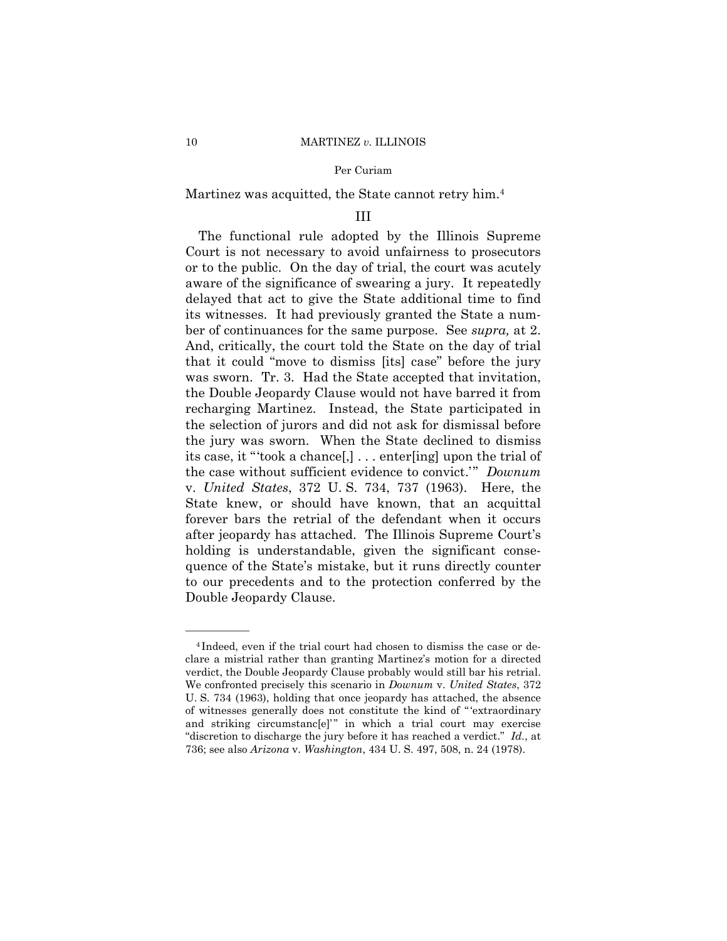# Martinez was acquitted, the State cannot retry him.4

# III

The functional rule adopted by the Illinois Supreme Court is not necessary to avoid unfairness to prosecutors or to the public. On the day of trial, the court was acutely aware of the significance of swearing a jury. It repeatedly delayed that act to give the State additional time to find its witnesses. It had previously granted the State a number of continuances for the same purpose. See *supra,* at 2. And, critically, the court told the State on the day of trial that it could "move to dismiss [its] case" before the jury was sworn. Tr. 3. Had the State accepted that invitation, the Double Jeopardy Clause would not have barred it from recharging Martinez. Instead, the State participated in the selection of jurors and did not ask for dismissal before the jury was sworn. When the State declined to dismiss its case, it "'took a chance[,] . . . enter[ing] upon the trial of the case without sufficient evidence to convict.'" *Downum*  v. *United States*, 372 U. S. 734, 737 (1963). Here, the State knew, or should have known, that an acquittal forever bars the retrial of the defendant when it occurs after jeopardy has attached. The Illinois Supreme Court's holding is understandable, given the significant consequence of the State's mistake, but it runs directly counter to our precedents and to the protection conferred by the Double Jeopardy Clause.

——————

 verdict, the Double Jeopardy Clause probably would still bar his retrial. "discretion to discharge the jury before it has reached a verdict." *Id.*, at <sup>4</sup> Indeed, even if the trial court had chosen to dismiss the case or declare a mistrial rather than granting Martinez's motion for a directed We confronted precisely this scenario in *Downum* v. *United States*, 372 U. S. 734 (1963), holding that once jeopardy has attached, the absence of witnesses generally does not constitute the kind of " 'extraordinary and striking circumstanc[e]" in which a trial court may exercise 736; see also *Arizona* v. *Washington*, 434 U. S. 497, 508, n. 24 (1978).